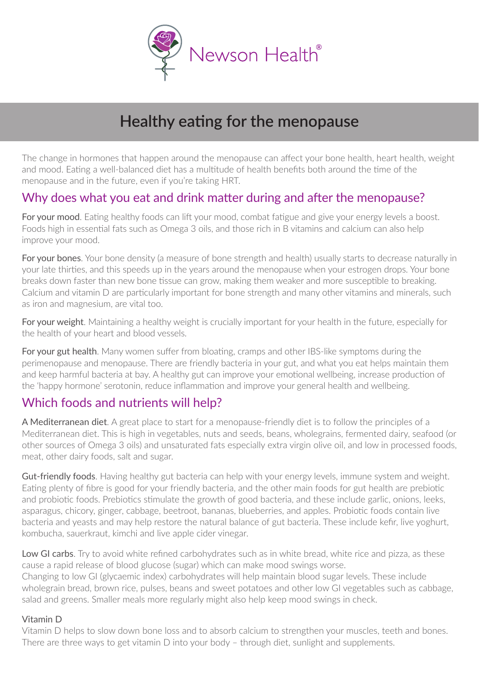

# **Healthy eating for the menopause**

The change in hormones that happen around the menopause can affect your bone health, heart health, weight and mood. Eating a well-balanced diet has a multitude of health benefits both around the time of the menopause and in the future, even if you're taking HRT.

### Why does what you eat and drink matter during and after the menopause?

For your mood. Fating healthy foods can lift your mood, combat fatigue and give your energy levels a boost. Foods high in essential fats such as Omega 3 oils, and those rich in B vitamins and calcium can also help improve your mood.

For your bones. Your bone density (a measure of bone strength and health) usually starts to decrease naturally in your late thirties, and this speeds up in the years around the menopause when your estrogen drops. Your bone breaks down faster than new bone tissue can grow, making them weaker and more susceptible to breaking. Calcium and vitamin D are particularly important for bone strength and many other vitamins and minerals, such as iron and magnesium, are vital too.

For your weight. Maintaining a healthy weight is crucially important for your health in the future, especially for the health of your heart and blood vessels.

For your gut health. Many women suffer from bloating, cramps and other IBS-like symptoms during the perimenopause and menopause. There are friendly bacteria in your gut, and what you eat helps maintain them and keep harmful bacteria at bay. A healthy gut can improve your emotional wellbeing, increase production of the 'happy hormone' serotonin, reduce inflammation and improve your general health and wellbeing.

### Which foods and nutrients will help?

A Mediterranean diet. A great place to start for a menopause-friendly diet is to follow the principles of a Mediterranean diet. This is high in vegetables, nuts and seeds, beans, wholegrains, fermented dairy, seafood (or other sources of Omega 3 oils) and unsaturated fats especially extra virgin olive oil, and low in processed foods, meat, other dairy foods, salt and sugar.

Gut-friendly foods. Having healthy gut bacteria can help with your energy levels, immune system and weight. Eating plenty of fibre is good for your friendly bacteria, and the other main foods for gut health are prebiotic and probiotic foods. Prebiotics stimulate the growth of good bacteria, and these include garlic, onions, leeks, asparagus, chicory, ginger, cabbage, beetroot, bananas, blueberries, and apples. Probiotic foods contain live bacteria and yeasts and may help restore the natural balance of gut bacteria. These include kefir, live yoghurt, kombucha, sauerkraut, kimchi and live apple cider vinegar.

Low GI carbs. Try to avoid white refined carbohydrates such as in white bread, white rice and pizza, as these cause a rapid release of blood glucose (sugar) which can make mood swings worse. Changing to low GI (glycaemic index) carbohydrates will help maintain blood sugar levels. These include

wholegrain bread, brown rice, pulses, beans and sweet potatoes and other low GI vegetables such as cabbage, salad and greens. Smaller meals more regularly might also help keep mood swings in check.

#### Vitamin D

Vitamin D helps to slow down bone loss and to absorb calcium to strengthen your muscles, teeth and bones. There are three ways to get vitamin D into your body – through diet, sunlight and supplements.